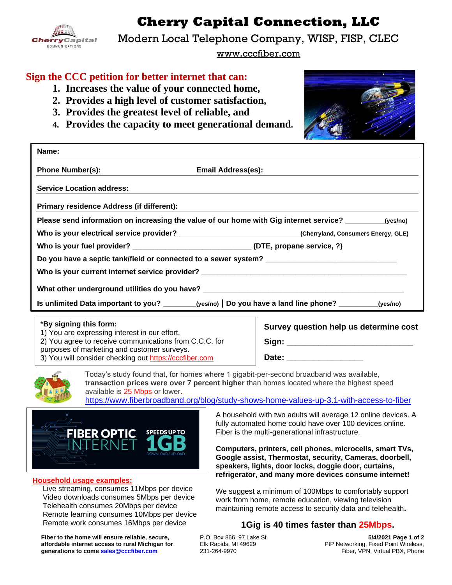

**Cherry Capital Connection, LLC**

Modern Local Telephone Company, WISP, FISP, CLEC

www.cccfiber.com

## **Sign the CCC petition for better internet that can:**

- **1. Increases the value of your connected home,**
- **2. Provides a high level of customer satisfaction,**
- **3. Provides the greatest level of reliable, and**
- 

| 9. Trovides the greatest level of renable, and<br>4. Provides the capacity to meet generational demand. |                                                                                                              |  |  |  |  |
|---------------------------------------------------------------------------------------------------------|--------------------------------------------------------------------------------------------------------------|--|--|--|--|
| Name:                                                                                                   |                                                                                                              |  |  |  |  |
| <b>Phone Number(s):</b>                                                                                 | <b>Email Address(es):</b>                                                                                    |  |  |  |  |
| <b>Service Location address:</b>                                                                        |                                                                                                              |  |  |  |  |
| Primary residence Address (if different):                                                               |                                                                                                              |  |  |  |  |
|                                                                                                         | Please send information on increasing the value of our home with Gig internet service? _________(yes/no)     |  |  |  |  |
|                                                                                                         | Who is your electrical service provider? ________________________________(Cherryland, Consumers Energy, GLE) |  |  |  |  |
|                                                                                                         | Who is your fuel provider? _______________________________(DTE, propane service, ?)                          |  |  |  |  |
|                                                                                                         |                                                                                                              |  |  |  |  |
|                                                                                                         |                                                                                                              |  |  |  |  |
|                                                                                                         | What other underground utilities do you have? __________________________________                             |  |  |  |  |
|                                                                                                         | Is unlimited Data important to you? ________(yes/no)   Do you have a land line phone? _________(yes/no)      |  |  |  |  |

#### \***By signing this form:**

1) You are expressing interest in our effort.

2) You agree to receive communications from C.C.C. for purposes of marketing and customer surveys.

3) You will consider checking out [https://cccfiber.com](https://cccfiber.com/)

**Survey question help us determine cost Sign: \_\_\_\_\_\_\_\_\_\_\_\_\_\_\_\_\_\_\_\_\_\_\_\_\_\_\_\_**

**Date: \_\_\_\_\_\_\_\_\_\_\_\_\_\_\_\_\_** 



Today's study found that, for homes where 1 gigabit-per-second broadband was available, **transaction prices were over 7 percent higher** than homes located where the highest speed available is 25 Mbps or lower.

<https://www.fiberbroadband.org/blog/study-shows-home-values-up-3.1-with-access-to-fiber>



#### **Household usage examples:**

 Live streaming, consumes 11Mbps per device Video downloads consumes 5Mbps per device Telehealth consumes 20Mbps per device Remote learning consumes 10Mbps per device Remote work consumes 16Mbps per device

**Fiber to the home will ensure reliable, secure, affordable internet access to rural Michigan for generations to come [sales@cccfiber.com](mailto:sales@cccfiber.com)**

A household with two adults will average 12 online devices. A fully automated home could have over 100 devices online. Fiber is the multi-generational infrastructure.

**Computers, printers, cell phones, microcells, smart TVs, Google assist, Thermostat, security, Cameras, doorbell, speakers, lights, door locks, doggie door, curtains, refrigerator, and many more devices consume internet!** 

We suggest a minimum of 100Mbps to comfortably support work from home, remote education, viewing television maintaining remote access to security data and telehealth**.**

#### **1Gig is 40 times faster than 25Mbps.**

P.O. Box 866, 97 Lake St Elk Rapids, MI 49629 231-264-9970

**5/4/2021 Page 1 of 2** PtP Networking, Fixed Point Wireless, Fiber, VPN, Virtual PBX, Phone